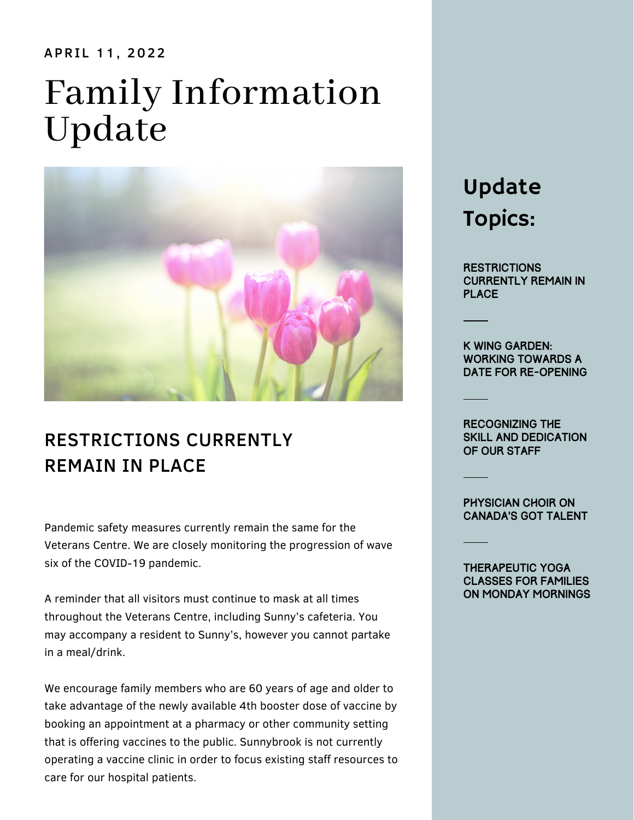#### APRIL 11, 2022

# Family Information Update



## RESTRICTIONS CURRENTLY REMAIN IN PLACE

Pandemic safety measures currently remain the same for the Veterans Centre. We are closely monitoring the progression of wave six of the COVID-19 pandemic.

A reminder that all visitors must continue to mask at all times throughout the Veterans Centre, including Sunny's cafeteria. You may accompany a resident to Sunny's, however you cannot partake in a meal/drink.

We encourage family members who are 60 years of age and older to take advantage of the newly available 4th booster dose of vaccine by booking an appointment at a pharmacy or other community setting that is offering vaccines to the public. Sunnybrook is not currently operating a vaccine clinic in order to focus existing staff resources to care for our hospital patients.

# Update Topics:

**RESTRICTIONS** Currently Remain in **PLACE** 

K Wing Garden: WORKING TOWARDS A DATE FOR RE-OPENING

Recognizing the skill and dedication of our staff

Physician choir on Canada's Got Talent

Therapeutic yoga classes for families on Monday mornings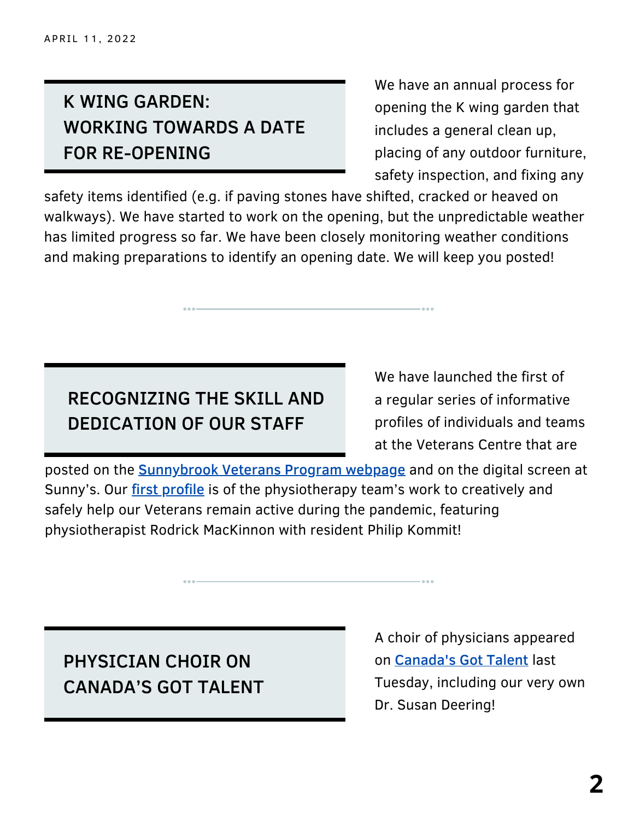# K WING GARDEN: WORKING TOWARDS A DATE FOR RE-OPENING

We have an annual process for opening the K wing garden that includes a general clean up, placing of any outdoor furniture, safety inspection, and fixing any

safety items identified (e.g. if paving stones have shifted, cracked or heaved on walkways). We have started to work on the opening, but the unpredictable weather has limited progress so far. We have been closely monitoring weather conditions and making preparations to identify an opening date. We will keep you posted!

## RECOGNIZING THE SKILL AND DEDICATION OF OUR STAFF

We have launched the first of a regular series of informative profiles of individuals and teams at the Veterans Centre that are

[posted](https://sunnybrook.ca/content/?page=veterans-centre-community) on the **[Sunnybrook](https://sunnybrook.ca/content/?page=veterans-centre-community) Veterans Program webpage** and on the digital screen at Sunny's. Our first [profile](https://sunnybrook.ca/media/item.asp?c=51&i=2422&page=33939) is of the physiotherapy team's work to creatively and safely help our Veterans remain active during the pandemic, featuring physiotherapist Rodrick MacKinnon with resident Philip Kommit!

PHYSICIAN CHOIR ON CANADA'S GOT TALENT A choir of physicians appeared on [Canada's](https://www.citytv.com/video/6302875412001/) Got Talent last Tuesday, including our very own Dr. Susan Deering!